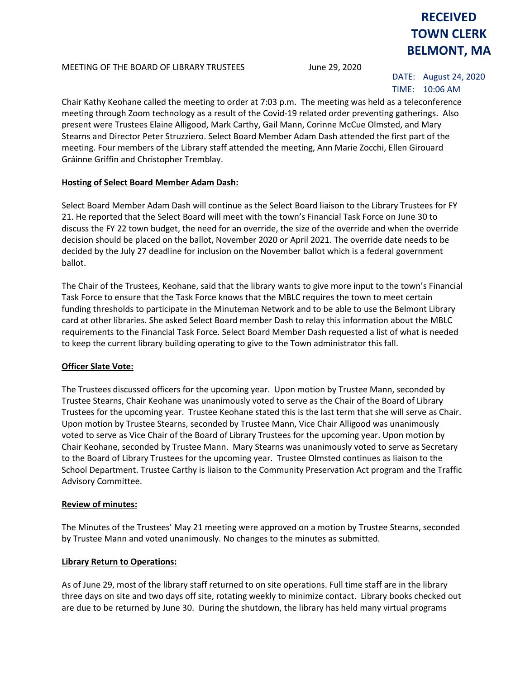#### MEETING OF THE BOARD OF LIBRARY TRUSTEES June 29, 2020

# **RECEIVED TOWN CLERK BELMONT, MA**

DATE: August 24, 2020 TIME: 10:06 AM

Chair Kathy Keohane called the meeting to order at 7:03 p.m. The meeting was held as a teleconference meeting through Zoom technology as a result of the Covid-19 related order preventing gatherings. Also present were Trustees Elaine Alligood, Mark Carthy, Gail Mann, Corinne McCue Olmsted, and Mary Stearns and Director Peter Struzziero. Select Board Member Adam Dash attended the first part of the meeting. Four members of the Library staff attended the meeting, Ann Marie Zocchi, Ellen Girouard Gráinne Griffin and Christopher Tremblay.

# **Hosting of Select Board Member Adam Dash:**

Select Board Member Adam Dash will continue as the Select Board liaison to the Library Trustees for FY 21. He reported that the Select Board will meet with the town's Financial Task Force on June 30 to discuss the FY 22 town budget, the need for an override, the size of the override and when the override decision should be placed on the ballot, November 2020 or April 2021. The override date needs to be decided by the July 27 deadline for inclusion on the November ballot which is a federal government ballot.

The Chair of the Trustees, Keohane, said that the library wants to give more input to the town's Financial Task Force to ensure that the Task Force knows that the MBLC requires the town to meet certain funding thresholds to participate in the Minuteman Network and to be able to use the Belmont Library card at other libraries. She asked Select Board member Dash to relay this information about the MBLC requirements to the Financial Task Force. Select Board Member Dash requested a list of what is needed to keep the current library building operating to give to the Town administrator this fall.

# **Officer Slate Vote:**

The Trustees discussed officers for the upcoming year. Upon motion by Trustee Mann, seconded by Trustee Stearns, Chair Keohane was unanimously voted to serve as the Chair of the Board of Library Trustees for the upcoming year. Trustee Keohane stated this is the last term that she will serve as Chair. Upon motion by Trustee Stearns, seconded by Trustee Mann, Vice Chair Alligood was unanimously voted to serve as Vice Chair of the Board of Library Trustees for the upcoming year. Upon motion by Chair Keohane, seconded by Trustee Mann. Mary Stearns was unanimously voted to serve as Secretary to the Board of Library Trustees for the upcoming year. Trustee Olmsted continues as liaison to the School Department. Trustee Carthy is liaison to the Community Preservation Act program and the Traffic Advisory Committee.

## **Review of minutes:**

The Minutes of the Trustees' May 21 meeting were approved on a motion by Trustee Stearns, seconded by Trustee Mann and voted unanimously. No changes to the minutes as submitted.

## **Library Return to Operations:**

As of June 29, most of the library staff returned to on site operations. Full time staff are in the library three days on site and two days off site, rotating weekly to minimize contact. Library books checked out are due to be returned by June 30. During the shutdown, the library has held many virtual programs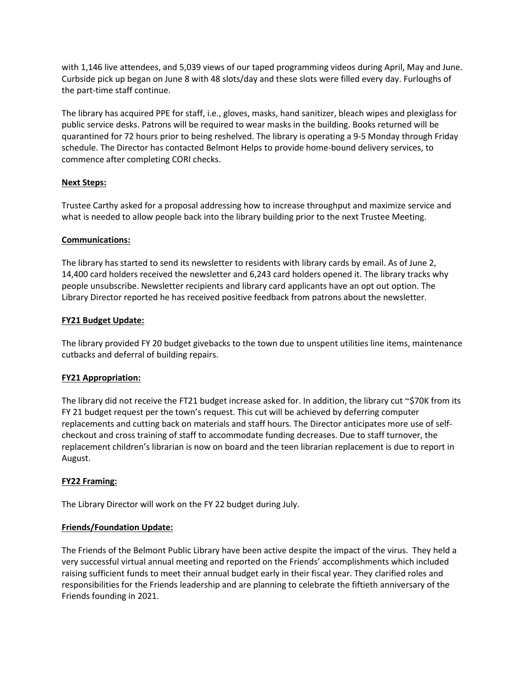with 1,146 live attendees, and 5,039 views of our taped programming videos during April, May and June. Curbside pick up began on June 8 with 48 slots/day and these slots were filled every day. Furloughs of the part-time staff continue.

The library has acquired PPE for staff, i.e., gloves, masks, hand sanitizer, bleach wipes and plexiglass for public service desks. Patrons will be required to wear masks in the building. Books returned will be quarantined for 72 hours prior to being reshelved. The library is operating a 9-5 Monday through Friday schedule. The Director has contacted Belmont Helps to provide home-bound delivery services, to commence after completing CORI checks.

# **Next Steps:**

Trustee Carthy asked for a proposal addressing how to increase throughput and maximize service and what is needed to allow people back into the library building prior to the next Trustee Meeting.

# **Communications:**

The library has started to send its newsletter to residents with library cards by email. As of June 2, 14,400 card holders received the newsletter and 6,243 card holders opened it. The library tracks why people unsubscribe. Newsletter recipients and library card applicants have an opt out option. The Library Director reported he has received positive feedback from patrons about the newsletter.

# **FY21 Budget Update:**

The library provided FY 20 budget givebacks to the town due to unspent utilities line items, maintenance cutbacks and deferral of building repairs.

# **FY21 Appropriation:**

The library did not receive the FT21 budget increase asked for. In addition, the library cut  $\sim$ \$70K from its FY 21 budget request per the town's request. This cut will be achieved by deferring computer replacements and cutting back on materials and staff hours. The Director anticipates more use of selfcheckout and cross training of staff to accommodate funding decreases. Due to staff turnover, the replacement children's librarian is now on board and the teen librarian replacement is due to report in August.

## **FY22 Framing:**

The Library Director will work on the FY 22 budget during July.

## **Friends/Foundation Update:**

The Friends of the Belmont Public Library have been active despite the impact of the virus. They held a very successful virtual annual meeting and reported on the Friends' accomplishments which included raising sufficient funds to meet their annual budget early in their fiscal year. They clarified roles and responsibilities for the Friends leadership and are planning to celebrate the fiftieth anniversary of the Friends founding in 2021.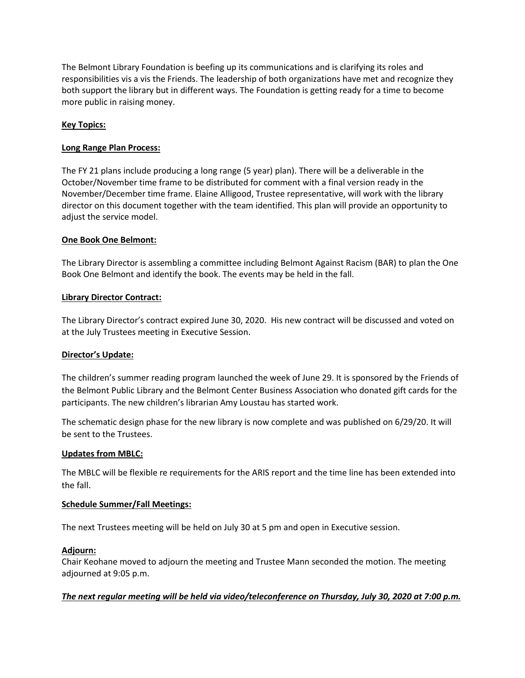The Belmont Library Foundation is beefing up its communications and is clarifying its roles and responsibilities vis a vis the Friends. The leadership of both organizations have met and recognize they both support the library but in different ways. The Foundation is getting ready for a time to become more public in raising money.

# **Key Topics:**

#### **Long Range Plan Process:**

The FY 21 plans include producing a long range (5 year) plan). There will be a deliverable in the October/November time frame to be distributed for comment with a final version ready in the November/December time frame. Elaine Alligood, Trustee representative, will work with the library director on this document together with the team identified. This plan will provide an opportunity to adjust the service model.

#### **One Book One Belmont:**

The Library Director is assembling a committee including Belmont Against Racism (BAR) to plan the One Book One Belmont and identify the book. The events may be held in the fall.

#### **Library Director Contract:**

The Library Director's contract expired June 30, 2020. His new contract will be discussed and voted on at the July Trustees meeting in Executive Session.

#### **Director's Update:**

The children's summer reading program launched the week of June 29. It is sponsored by the Friends of the Belmont Public Library and the Belmont Center Business Association who donated gift cards for the participants. The new children's librarian Amy Loustau has started work.

The schematic design phase for the new library is now complete and was published on 6/29/20. It will be sent to the Trustees.

#### **Updates from MBLC:**

The MBLC will be flexible re requirements for the ARIS report and the time line has been extended into the fall.

#### **Schedule Summer/Fall Meetings:**

The next Trustees meeting will be held on July 30 at 5 pm and open in Executive session.

## **Adjourn:**

Chair Keohane moved to adjourn the meeting and Trustee Mann seconded the motion. The meeting adjourned at 9:05 p.m.

## *The next regular meeting will be held via video/teleconference on Thursday, July 30, 2020 at 7:00 p.m.*